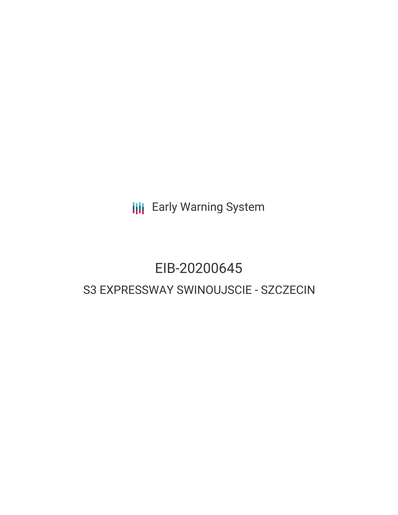**III** Early Warning System

# EIB-20200645

# S3 EXPRESSWAY SWINOUJSCIE - SZCZECIN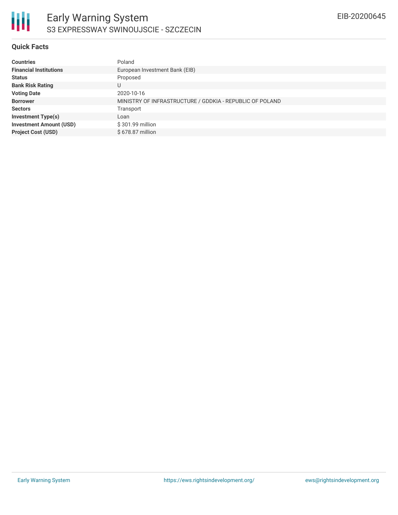

#### **Quick Facts**

| <b>Countries</b>               | Poland                                                   |
|--------------------------------|----------------------------------------------------------|
| <b>Financial Institutions</b>  | European Investment Bank (EIB)                           |
| <b>Status</b>                  | Proposed                                                 |
| <b>Bank Risk Rating</b>        | U                                                        |
| <b>Voting Date</b>             | 2020-10-16                                               |
| <b>Borrower</b>                | MINISTRY OF INFRASTRUCTURE / GDDKIA - REPUBLIC OF POLAND |
| <b>Sectors</b>                 | Transport                                                |
| <b>Investment Type(s)</b>      | Loan                                                     |
| <b>Investment Amount (USD)</b> | \$301.99 million                                         |
| <b>Project Cost (USD)</b>      | \$678.87 million                                         |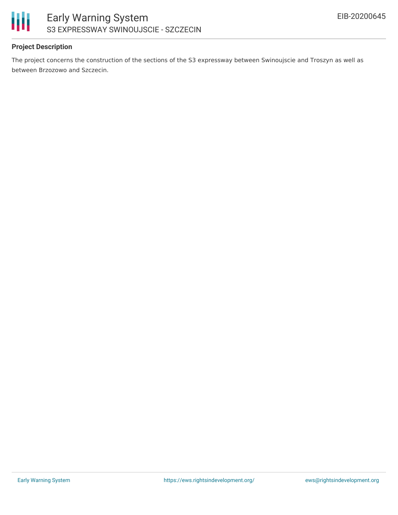

# **Project Description**

The project concerns the construction of the sections of the S3 expressway between Swinoujscie and Troszyn as well as between Brzozowo and Szczecin.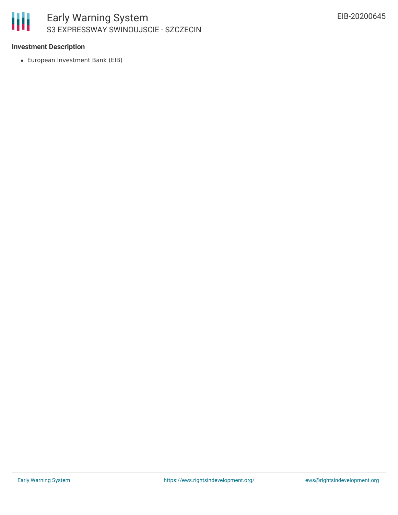

### **Investment Description**

European Investment Bank (EIB)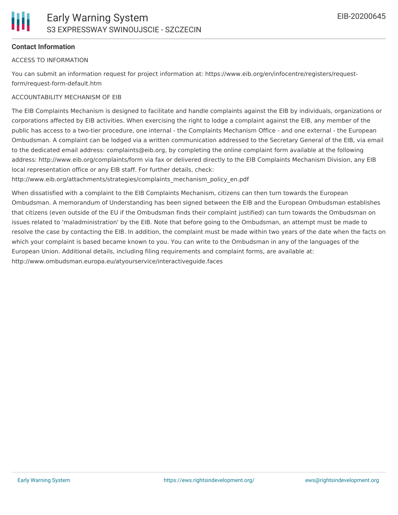# **Contact Information**

#### ACCESS TO INFORMATION

You can submit an information request for project information at: https://www.eib.org/en/infocentre/registers/requestform/request-form-default.htm

#### ACCOUNTABILITY MECHANISM OF EIB

The EIB Complaints Mechanism is designed to facilitate and handle complaints against the EIB by individuals, organizations or corporations affected by EIB activities. When exercising the right to lodge a complaint against the EIB, any member of the public has access to a two-tier procedure, one internal - the Complaints Mechanism Office - and one external - the European Ombudsman. A complaint can be lodged via a written communication addressed to the Secretary General of the EIB, via email to the dedicated email address: complaints@eib.org, by completing the online complaint form available at the following address: http://www.eib.org/complaints/form via fax or delivered directly to the EIB Complaints Mechanism Division, any EIB local representation office or any EIB staff. For further details, check:

http://www.eib.org/attachments/strategies/complaints\_mechanism\_policy\_en.pdf

When dissatisfied with a complaint to the EIB Complaints Mechanism, citizens can then turn towards the European Ombudsman. A memorandum of Understanding has been signed between the EIB and the European Ombudsman establishes that citizens (even outside of the EU if the Ombudsman finds their complaint justified) can turn towards the Ombudsman on issues related to 'maladministration' by the EIB. Note that before going to the Ombudsman, an attempt must be made to resolve the case by contacting the EIB. In addition, the complaint must be made within two years of the date when the facts on which your complaint is based became known to you. You can write to the Ombudsman in any of the languages of the European Union. Additional details, including filing requirements and complaint forms, are available at: http://www.ombudsman.europa.eu/atyourservice/interactiveguide.faces